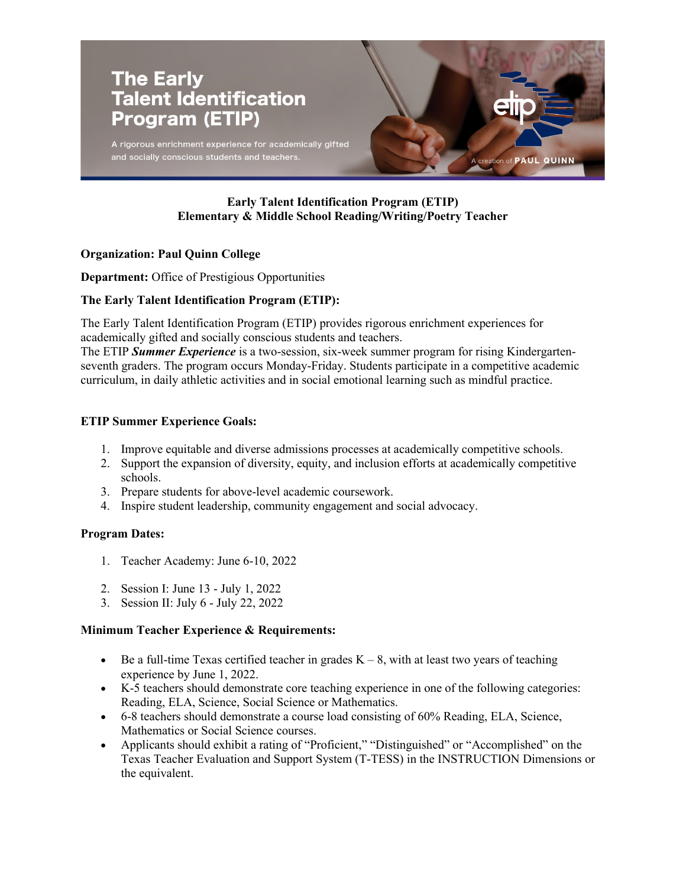

# **Early Talent Identification Program (ETIP) Elementary & Middle School Reading/Writing/Poetry Teacher**

## **Organization: Paul Quinn College**

**Department:** Office of Prestigious Opportunities

## **The Early Talent Identification Program (ETIP):**

The Early Talent Identification Program (ETIP) provides rigorous enrichment experiences for academically gifted and socially conscious students and teachers.

The ETIP *Summer Experience* is a two-session, six-week summer program for rising Kindergartenseventh graders. The program occurs Monday-Friday. Students participate in a competitive academic curriculum, in daily athletic activities and in social emotional learning such as mindful practice.

## **ETIP Summer Experience Goals:**

- 1. Improve equitable and diverse admissions processes at academically competitive schools.
- 2. Support the expansion of diversity, equity, and inclusion efforts at academically competitive schools.
- 3. Prepare students for above-level academic coursework.
- 4. Inspire student leadership, community engagement and social advocacy.

### **Program Dates:**

- 1. Teacher Academy: June 6-10, 2022
- 2. Session I: June 13 July 1, 2022
- 3. Session II: July 6 July 22, 2022

### **Minimum Teacher Experience & Requirements:**

- Be a full-time Texas certified teacher in grades  $K 8$ , with at least two years of teaching experience by June 1, 2022.
- K-5 teachers should demonstrate core teaching experience in one of the following categories: Reading, ELA, Science, Social Science or Mathematics.
- 6-8 teachers should demonstrate a course load consisting of 60% Reading, ELA, Science, Mathematics or Social Science courses.
- Applicants should exhibit a rating of "Proficient," "Distinguished" or "Accomplished" on the Texas Teacher Evaluation and Support System (T-TESS) in the INSTRUCTION Dimensions or the equivalent.